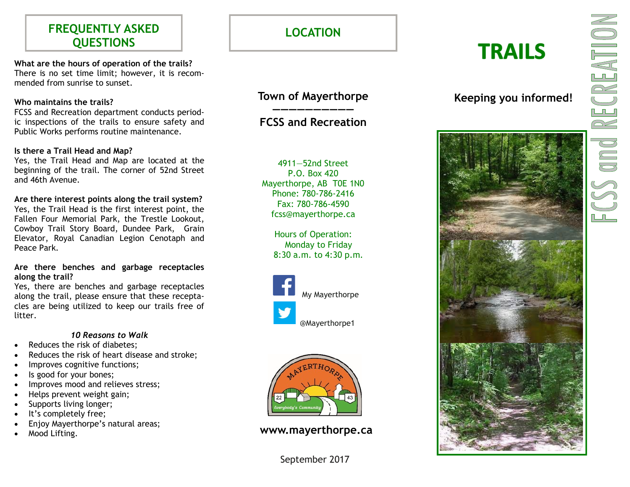## **FREQUENTLY ASKED QUESTIONS**

**What are the hours of operation of the trails?** There is no set time limit; however, it is recommended from sunrise to sunset.

### **Who maintains the trails?**

FCSS and Recreation department conducts periodic inspections of the trails to ensure safety and Public Works performs routine maintenance.

#### **Is there a Trail Head and Map?**

Yes, the Trail Head and Map are located at the beginning of the trail. The corner of 52nd Street and 46th Avenue.

**Are there interest points along the trail system?**

Yes, the Trail Head is the first interest point, the Fallen Four Memorial Park, the Trestle Lookout, Cowboy Trail Story Board, Dundee Park, Grain Elevator, Royal Canadian Legion Cenotaph and Peace Park.

**Are there benches and garbage receptacles along the trail?**

Yes, there are benches and garbage receptacles along the trail, please ensure that these receptacles are being utilized to keep our trails free of litter.

#### *10 Reasons to Walk*

- Reduces the risk of diabetes;
- Reduces the risk of heart disease and stroke;
- Improves cognitive functions;
- Is good for your bones;
- Improves mood and relieves stress;
- Helps prevent weight gain;
- Supports living longer;
- It's completely free;
- Enjoy Mayerthorpe's natural areas;
- 

**LOCATION**

## **Town of Mayerthorpe ——————————**

## **FCSS and Recreation**

4911 —52nd Street P.O. Box 420 Mayerthorpe, AB T0E 1N0 Phone: 780 -786 -2416 Fax: 780 -786 -4590 fcss@mayerthorpe.ca

> Hours of Operation: Monday to Friday 8:30 a.m. to 4:30 p.m.





Mood Lifting. **www.mayerthorpe.ca**

September 2017

# **TRAILS**



**Keeping you informed!**